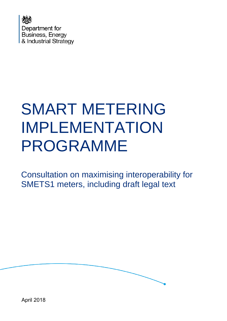

# SMART METERING IMPLEMENTATION PROGRAMME

Consultation on maximising interoperability for SMETS1 meters, including draft legal text



April 2018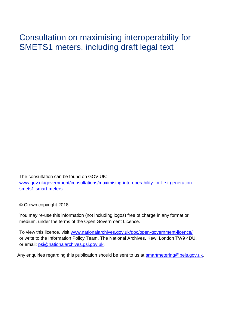Consultation on maximising interoperability for SMETS1 meters, including draft legal text

The consultation can be found on GOV.UK: [www.gov.uk/government/consultations/maximising-interoperability-for-first-generation](http://www.gov.uk/government/consultations/maximising-interoperability-for-first-generation-smets1-smart-meters)[smets1-smart-meters](http://www.gov.uk/government/consultations/maximising-interoperability-for-first-generation-smets1-smart-meters)

© Crown copyright 2018

You may re-use this information (not including logos) free of charge in any format or medium, under the terms of the Open Government Licence.

To view this licence, visit [www.nationalarchives.gov.uk/doc/open-government-licence/](http://www.nationalarchives.gov.uk/doc/open-government-licence/) or write to the Information Policy Team, The National Archives, Kew, London TW9 4DU, or email: [psi@nationalarchives.gsi.gov.uk.](mailto:psi@nationalarchives.gsi.gov.uk)

Any enquiries regarding this publication should be sent to us at [smartmetering@beis.gov.uk.](mailto:smartmetering@beis.gov.uk)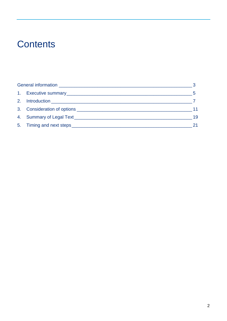# **Contents**

|  |  | 19 |
|--|--|----|
|  |  |    |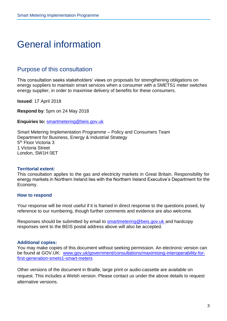## <span id="page-3-0"></span>General information

#### Purpose of this consultation

This consultation seeks stakeholders' views on proposals for strengthening obligations on energy suppliers to maintain smart services when a consumer with a SMETS1 meter switches energy supplier, in order to maximise delivery of benefits for these consumers.

**Issued**: 17 April 2018

**Respond by**: 5pm on 24 May 2018

**Enquiries to:** [smartmetering@beis.gov.uk](mailto:smartmetering@beis.gov.uk)

Smart Metering Implementation Programme – Policy and Consumers Team Department for Business, Energy & Industrial Strategy 5<sup>th</sup> Floor Victoria 3 1 Victoria Street London, SW1H 0ET

#### **Territorial extent:**

This consultation applies to the gas and electricity markets in Great Britain. Responsibility for energy markets in Northern Ireland lies with the Northern Ireland Executive's Department for the Economy.

#### **How to respond**

Your response will be most useful if it is framed in direct response to the questions posed, by reference to our numbering, though further comments and evidence are also welcome.

Responses should be submitted by email to **smartmetering@beis.gov.uk** and hardcopy responses sent to the BEIS postal address above will also be accepted.

#### **Additional copies:**

You may make copies of this document without seeking permission. An electronic version can be found at GOV.UK: [www.gov.uk/government/consultations/maximising-interoperability-for](https://www.gov.uk/government/consultations/maximising-interoperability-for-first-generation-smets1-smart-meters)[first-generation-smets1-smart-meters](https://www.gov.uk/government/consultations/maximising-interoperability-for-first-generation-smets1-smart-meters)

Other versions of the document in Braille, large print or audio-cassette are available on request. This includes a Welsh version. Please contact us under the above details to request alternative versions.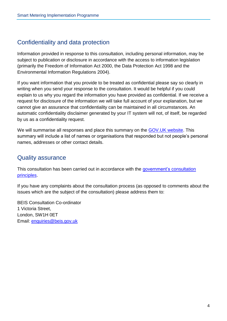### Confidentiality and data protection

Information provided in response to this consultation, including personal information, may be subject to publication or disclosure in accordance with the access to information legislation (primarily the Freedom of Information Act 2000, the Data Protection Act 1998 and the Environmental Information Regulations 2004).

If you want information that you provide to be treated as confidential please say so clearly in writing when you send your response to the consultation. It would be helpful if you could explain to us why you regard the information you have provided as confidential. If we receive a request for disclosure of the information we will take full account of your explanation, but we cannot give an assurance that confidentiality can be maintained in all circumstances. An automatic confidentiality disclaimer generated by your IT system will not, of itself, be regarded by us as a confidentiality request.

We will summarise all responses and place this summary on the **GOV.UK website**. This summary will include a list of names or organisations that responded but not people's personal names, addresses or other contact details.

#### Quality assurance

This consultation has been carried out in accordance with the government's consultation [principles.](https://www.gov.uk/government/publications/consultation-principles-guidance)

If you have any complaints about the consultation process (as opposed to comments about the issues which are the subject of the consultation) please address them to:

BEIS Consultation Co-ordinator 1 Victoria Street, London, SW1H 0ET Email: [enquiries@beis.gov.uk](mailto:enquiries@beis.gov.uk)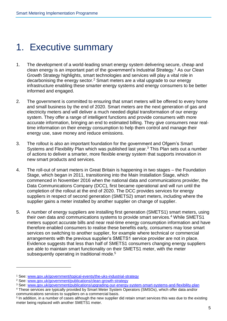# <span id="page-5-0"></span>1. Executive summary

- 1. The development of a world-leading smart energy system delivering secure, cheap and clean energy is an important part of the government's Industrial Strategy.<sup>1</sup> As our Clean Growth Strategy highlights, smart technologies and services will play a vital role in decarbonising the energy sector.<sup>2</sup> Smart meters are a vital upgrade to our energy infrastructure enabling these smarter energy systems and energy consumers to be better informed and engaged.
- 2. The government is committed to ensuring that smart meters will be offered to every home and small business by the end of 2020. Smart meters are the next generation of gas and electricity meters and will deliver a much needed digital transformation of our energy system. They offer a range of intelligent functions and provide consumers with more accurate information, bringing an end to estimated billing. They give consumers near realtime information on their energy consumption to help them control and manage their energy use, save money and reduce emissions.
- 3. The rollout is also an important foundation for the government and Ofgem's Smart Systems and Flexibility Plan which was published last year.<sup>3</sup> This Plan sets out a number of actions to deliver a smarter, more flexible energy system that supports innovation in new smart products and services.
- 4. The roll-out of smart meters in Great Britain is happening in two stages the Foundation Stage, which began in 2011, transitioning into the Main Installation Stage, which commenced in November 2016 when the national data and communications provider, the Data Communications Company (DCC), first became operational and will run until the completion of the rollout at the end of 2020. The DCC provides services for energy suppliers in respect of second generation (SMETS2) smart meters, including where the supplier gains a meter installed by another supplier on change of supplier.
- 5. A number of energy suppliers are installing first generation (SMETS1) smart meters, using their own data and communications systems to provide smart services.<sup>4</sup> While SMETS1 meters support accurate bills and near real-time energy consumption information and have therefore enabled consumers to realise these benefits early, consumers may lose smart services on switching to another supplier, for example where technical or commercial arrangements with the previous supplier's SMETS1 service provider are not in place. Evidence suggests that less than half of SMETS1 consumers changing energy suppliers are able to maintain smart functionality on their SMETS1 meter, with the meter subsequently operating in traditional mode.<sup>5</sup>

<sup>1</sup> See: [www.gov.uk/government/topical-events/the-uks-industrial-strategy](https://www.gov.uk/government/topical-events/the-uks-industrial-strategy)

<sup>2</sup> See: [www.gov.uk/government/publications/clean-growth-strategy](https://www.gov.uk/government/publications/clean-growth-strategy)

<sup>3</sup> See: [www.gov.uk/government/publications/upgrading-our-energy-system-smart-systems-and-flexibility-plan](https://www.gov.uk/government/publications/upgrading-our-energy-system-smart-systems-and-flexibility-plan)

<sup>4</sup> These services are typically provided by Smart Meter System Operators (SMSOs), which offer data and/or communications services to suppliers on a commercial basis.

<sup>5</sup> In addition, in a number of cases although the new supplier did retain smart services this was due to the existing meter being replaced with another SMETS1 meter.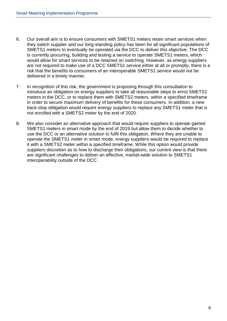- 6. Our overall aim is to ensure consumers with SMETS1 meters retain smart services when they switch supplier and our long-standing policy has been for all significant populations of SMETS1 meters to eventually be operated via the DCC to deliver this objective. The DCC is currently procuring, building and testing a service to operate SMETS1 meters, which would allow for smart services to be retained on switching. However, as energy suppliers are not required to make use of a DCC SMETS1 service either at all or promptly, there is a risk that the benefits to consumers of an interoperable SMETS1 service would not be delivered in a timely manner.
- 7. In recognition of this risk, the government is proposing through this consultation to introduce an obligation on energy suppliers to take all reasonable steps to enrol SMETS1 meters in the DCC, or to replace them with SMETS2 meters, within a specified timeframe in order to secure maximum delivery of benefits for these consumers. In addition, a new back-stop obligation would require energy suppliers to replace any SMETS1 meter that is not enrolled with a SMETS2 meter by the end of 2020.
- 8. We also consider an alternative approach that would require suppliers to operate gained SMETS1 meters in smart mode by the end of 2019 but allow them to decide whether to use the DCC or an alternative solution to fulfil this obligation. Where they are unable to operate the SMETS1 meter in smart mode, energy suppliers would be required to replace it with a SMETS2 meter within a specified timeframe. While this option would provide suppliers discretion as to how to discharge their obligations, our current view is that there are significant challenges to deliver an effective, market-wide solution to SMETS1 interoperability outside of the DCC.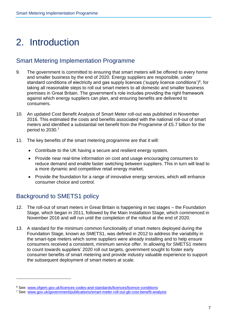# <span id="page-7-0"></span>2. Introduction

### Smart Metering Implementation Programme

- 9. The government is committed to ensuring that smart meters will be offered to every home and smaller business by the end of 2020. Energy suppliers are responsible, under standard conditions of electricity and gas supply licences ('supply licence conditions')<sup>6</sup>, for taking all reasonable steps to roll out smart meters to all domestic and smaller business premises in Great Britain. The government's role includes providing the right framework against which energy suppliers can plan, and ensuring benefits are delivered to consumers.
- 10. An updated Cost Benefit Analysis of Smart Meter roll-out was published in November 2016. This estimated the costs and benefits associated with the national roll-out of smart meters and identified a substantial net benefit from the Programme of £5.7 billion for the period to 2030.<sup>7</sup>
- 11. The key benefits of the smart metering programme are that it will:
	- Contribute to the UK having a secure and resilient energy system.
	- Provide near real-time information on cost and usage encouraging consumers to reduce demand and enable faster switching between suppliers. This in turn will lead to a more dynamic and competitive retail energy market.
	- Provide the foundation for a range of innovative energy services, which will enhance consumer choice and control.

### Background to SMETS1 policy

- 12. The roll-out of smart meters in Great Britain is happening in two stages the Foundation Stage, which began in 2011, followed by the Main Installation Stage, which commenced in November 2016 and will run until the completion of the rollout at the end of 2020.
- 13. A standard for the minimum common functionality of smart meters deployed during the Foundation Stage, known as SMETS1, was defined in 2012 to address the variability in the smart-type meters which some suppliers were already installing and to help ensure consumers received a consistent, minimum service offer. In allowing for SMETS1 meters to count towards suppliers' 2020 roll out targets, government sought to foster early consumer benefits of smart metering and provide industry valuable experience to support the subsequent deployment of smart meters at scale.

<sup>6</sup> See: [www.ofgem.gov.uk/licences-codes-and-standards/licences/licence-conditions](https://www.ofgem.gov.uk/licences-codes-and-standards/licences/licence-conditions)

<sup>7</sup> See: [www.gov.uk/government/publications/smart-meter-roll-out-gb-cost-benefit-analysis](http://www.gov.uk/government/publications/smart-meter-roll-out-gb-cost-benefit-analysis)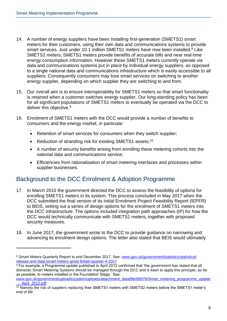$\overline{a}$ 

- 14. A number of energy suppliers have been installing first-generation (SMETS1) smart meters for their customers, using their own data and communications systems to provide smart services. Just under 10.1 million SMETS1 meters have now been installed.<sup>8</sup> Like SMETS2 meters, SMETS1 meters provide benefits of accurate bills and near real-time energy consumption information. However these SMETS1 meters currently operate via data and communications systems put in place by individual energy suppliers, as opposed to a single national data and communications infrastructure which is easily accessible to all suppliers. Consequently consumers may lose smart services on switching to another energy supplier, depending on which supplier they are switching to and from.
- 15. Our overall aim is to ensure interoperability for SMETS1 meters so that smart functionality is retained when a customer switches energy supplier. Our long-standing policy has been for all significant populations of SMETS1 meters to eventually be operated via the DCC to deliver this objective.<sup>9</sup>
- 16. Enrolment of SMETS1 meters with the DCC would provide a number of benefits to consumers and the energy market, in particular:
	- Retention of smart services for consumers when they switch supplier;
	- Reduction of stranding risk for existing SMETS1 assets:<sup>10</sup>
	- A number of security benefits arising from enrolling these metering cohorts into the national data and communications service;
	- Efficiencies from rationalisation of smart metering interfaces and processes within supplier businesses.

### Background to the DCC Enrolment & Adoption Programme

- 17. In March 2015 the government directed the DCC to assess the feasibility of options for enrolling SMETS1 meters in its system. This process concluded in May 2017 when the DCC submitted the final version of its Initial Enrolment Project Feasibility Report (IEPFR) to BEIS, setting out a series of design options for the enrolment of SMETS1 meters into the DCC infrastructure. The options included integration path approaches (IP) for how the DCC would technically communicate with SMETS1 meters, together with proposed security measures.
- 18. In June 2017, the government wrote to the DCC to provide guidance on narrowing and advancing its enrolment design options. The letter also stated that BEIS would ultimately

<sup>&</sup>lt;sup>8</sup> Smart Meters Quarterly Report to end December 2017. See: [www.gov.uk/government/statistics/statistical](https://www.gov.uk/government/statistics/statistical-release-and-data-smart-meters-great-britain-quarter-4-2017)[release-and-data-smart-meters-great-britain-quarter-4-2017](https://www.gov.uk/government/statistics/statistical-release-and-data-smart-meters-great-britain-quarter-4-2017)

 $9$  For example, a Programme update published in April 2012 confirmed that 'the government has stated that all domestic Smart Metering Systems should be managed through the DCC and is keen to apply this principle, as far as possible, to meters installed in the Foundation Stage.' See:

[www.gov.uk/government/uploads/system/uploads/attachment\\_data/file/68976/Smart\\_metering\\_programme\\_update](https://www.gov.uk/government/uploads/system/uploads/attachment_data/file/68976/Smart_metering_programme_update_-_April_2012.pdf) [\\_-\\_April\\_2012.pdf](https://www.gov.uk/government/uploads/system/uploads/attachment_data/file/68976/Smart_metering_programme_update_-_April_2012.pdf)

<sup>&</sup>lt;sup>10</sup> Namely the risk of suppliers replacing their SMETS1 meters with SMETS2 meters before the SMETS1 meter's end of life.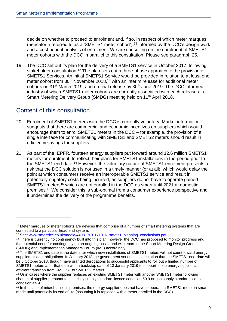decide on whether to proceed to enrolment and, if so, in respect of which meter marques (henceforth referred to as a 'SMETS1 meter cohort'), <sup>11</sup> informed by the DCC's design work and a cost benefit analysis of enrolment. We are consulting on the enrolment of SMETS1 meter cohorts with the DCC in parallel to this consultation. Please see paragraph 25.

19. The DCC set out its plan for the delivery of a SMETS1 service in October 2017, following stakeholder consultation.<sup>12</sup> The plan sets out a three-phase approach to the provision of SMETS1 Services. An initial SMETS1 Service would be provided in relation to at least one meter cohort from 30<sup>th</sup> November 2018,<sup>13</sup> with an interim release for additional meter cohorts on 31<sup>st</sup> March 2019, and on final release by 30<sup>th</sup> June 2019. The DCC informed industry of which SMETS1 meter cohorts are currently associated with each release at a Smart Metering Delivery Group (SMDG) meeting held on 11<sup>th</sup> April 2018.

### Content of this consultation

- 20. Enrolment of SMETS1 meters with the DCC is currently voluntary. Market information suggests that there are commercial and economic incentives on suppliers which would encourage them to enrol SMETS1 meters in the DCC – for example, the provision of a single interface for communicating with SMETS1 and SMETS2 meters should result in efficiency savings for suppliers.
- 21. As part of the IEPFR, fourteen energy suppliers put forward around 12.6 million SMETS1 meters for enrolment, to reflect their plans for SMETS1 installations in the period prior to the SMETS1 end-date.<sup>14</sup> However, the voluntary nature of SMETS1 enrolment presents a risk that the DCC solution is not used in a timely manner (or at all), which would delay the point at which consumers receive an interoperable SMETS1 service and result in potentially nugatory costs being incurred, as suppliers do not have to operate gained SMETS1 meters<sup>15</sup> which are not enrolled in the DCC as smart until 2021 at domestic premises.<sup>16</sup> We consider this is sub-optimal from a consumer experience perspective and it undermines the delivery of the programme benefits.

<sup>&</sup>lt;sup>11</sup> Meter marques or meter cohorts are devices that comprise of a number of smart metering systems that are connected to a particular head end system.

<sup>&</sup>lt;sup>12</sup> See: [www.smartdcc.co.uk/media/440317/20171016\\_smets1\\_planning\\_conclusions.pdf](http://www.smartdcc.co.uk/media/440317/20171016_smets1_planning_conclusions.pdf)

<sup>&</sup>lt;sup>13</sup> There is currently no contingency built into this plan, however the DCC has proposed to monitor progress and the potential need for contingency on an ongoing basis, and will report to the Smart Metering Design Group (SMDG) and Implementation Managers Forum (IMF) accordingly.

<sup>&</sup>lt;sup>14</sup> The SMETS1 end date is the date after which new installations of SMETS1 meters will not count toward energy suppliers' rollout obligations. In January 2018 the government set out its expectation that the SMETS1 end-date will be 5 October 2018, though have granted derogations to successful applicants to roll out a limited number of SMETS1 meters after that date with a backstop date of 13 January 2019 to support those energy suppliers' efficient transition from SMETS1 to SMETS2 meters.

<sup>&</sup>lt;sup>15</sup> Or in cases where the supplier replaces an existing SMETS1 meter with another SMETS1 meter following change of supplier pursuant to electricity supply standard licence condition 50.9 or gas supply standard licence condition 44.9.

<sup>&</sup>lt;sup>16</sup> In the case of microbusiness premises, the energy supplier does not have to operate a SMETS1 meter in smart mode until potentially its end of life (assuming it is replaced with a meter enrolled in the DCC).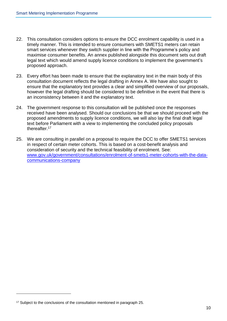- 22. This consultation considers options to ensure the DCC enrolment capability is used in a timely manner. This is intended to ensure consumers with SMETS1 meters can retain smart services whenever they switch supplier in line with the Programme's policy and maximise consumer benefits. An annex published alongside this document sets out draft legal text which would amend supply licence conditions to implement the government's proposed approach.
- 23. Every effort has been made to ensure that the explanatory text in the main body of this consultation document reflects the legal drafting in Annex A. We have also sought to ensure that the explanatory text provides a clear and simplified overview of our proposals, however the legal drafting should be considered to be definitive in the event that there is an inconsistency between it and the explanatory text.
- 24. The government response to this consultation will be published once the responses received have been analysed. Should our conclusions be that we should proceed with the proposed amendments to supply licence conditions, we will also lay the final draft legal text before Parliament with a view to implementing the concluded policy proposals thereafter.<sup>17</sup>
- 25. We are consulting in parallel on a proposal to require the DCC to offer SMETS1 services in respect of certain meter cohorts. This is based on a cost-benefit analysis and consideration of security and the technical feasibility of enrolment. See: [www.gov.uk/government/consultations/enrolment-of-smets1-meter-cohorts-with-the-data](http://www.gov.uk/government/consultations/enrolment-of-smets1-meter-cohorts-with-the-data-communications-company)[communications-company](http://www.gov.uk/government/consultations/enrolment-of-smets1-meter-cohorts-with-the-data-communications-company)

<sup>&</sup>lt;sup>17</sup> Subject to the conclusions of the consultation mentioned in paragraph 25.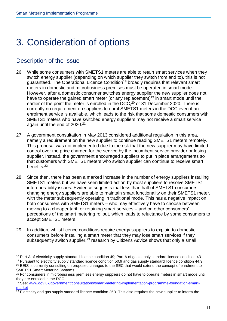# <span id="page-11-0"></span>3. Consideration of options

### Description of the issue

 $\overline{a}$ 

- 26. While some consumers with SMETS1 meters are able to retain smart services when they switch energy supplier (depending on which supplier they switch from and to), this is not guaranteed. The Operational Licence Condition<sup>18</sup> broadly requires that relevant smart meters in domestic and microbusiness premises must be operated in smart mode. However, after a domestic consumer switches energy supplier the new supplier does not have to operate the gained smart meter (or any replacement)<sup>19</sup> in smart mode until the earlier of the point the meter is enrolled in the DCC,<sup>20</sup> or 31 December 2020. There is currently no requirement on suppliers to enrol SMETS1 meters in the DCC even if an enrolment service is available, which leads to the risk that some domestic consumers with SMETS1 meters who have switched energy suppliers may not receive a smart service again until the end of 2020.<sup>21</sup>
- 27. A government consultation in May 2013 considered additional regulation in this area, namely a requirement on the new supplier to continue reading SMETS1 meters remotely. This proposal was not implemented due to the risk that the new supplier may have limited control over the price charged for the service by the incumbent service provider or losing supplier. Instead, the government encouraged suppliers to put in place arrangements so that customers with SMETS1 meters who switch supplier can continue to receive smart benefits.<sup>22</sup>
- 28. Since then, there has been a marked increase in the number of energy suppliers installing SMETS1 meters but we have seen limited action by most suppliers to resolve SMETS1 interoperability issues. Evidence suggests that less than half of SMETS1 consumers changing energy suppliers are able to maintain smart functionality on their SMETS1 meter, with the meter subsequently operating in traditional mode. This has a negative impact on both consumers with SMETS1 meters – who may effectively have to choose between moving to a cheaper tariff or retaining smart services – and on other consumers' perceptions of the smart metering rollout, which leads to reluctance by some consumers to accept SMETS1 meters.
- 29. In addition, whilst licence conditions require energy suppliers to explain to domestic consumers before installing a smart meter that they may lose smart services if they subsequently switch supplier,<sup>23</sup> research by Citizens Advice shows that only a small

<sup>&</sup>lt;sup>18</sup> Part A of electricity supply standard licence condition 49: Part A of gas supply standard licence condition 43.

<sup>19</sup> Pursuant to electricity supply standard licence condition 50.9 and gas supply standard licence condition 44.9. <sup>20</sup> BEIS is currently consulting on proposed changes to the SEC that would extend the concept of enrolment to SMETS1 Smart Metering Systems.

<sup>&</sup>lt;sup>21</sup> For consumers in microbusiness premises energy suppliers do not have to operate meters in smart mode until they are enrolled in the DCC.

<sup>&</sup>lt;sup>22</sup> See: [www.gov.uk/government/consultations/smart-metering-implementation-programme-foundation-smart](https://www.gov.uk/government/consultations/smart-metering-implementation-programme-foundation-smart-market)[market](https://www.gov.uk/government/consultations/smart-metering-implementation-programme-foundation-smart-market)

 $23$  Electricity and gas supply standard licence condition 25B. This also requires the new supplier to inform the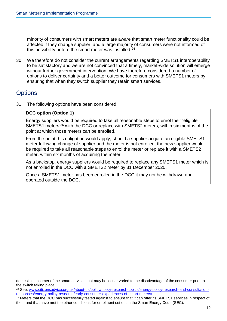minority of consumers with smart meters are aware that smart meter functionality could be affected if they change supplier, and a large majority of consumers were not informed of this possibility before the smart meter was installed.<sup>24</sup>

30. We therefore do not consider the current arrangements regarding SMETS1 interoperability to be satisfactory and we are not convinced that a timely, market-wide solution will emerge without further government intervention. We have therefore considered a number of options to deliver certainty and a better outcome for consumers with SMETS1 meters by ensuring that when they switch supplier they retain smart services.

### **Options**

31. The following options have been considered.

#### **DCC option (Option 1)**

Energy suppliers would be required to take all reasonable steps to enrol their 'eligible SMETS1 meters'<sup>25</sup> with the DCC or replace with SMETS2 meters, within six months of the point at which those meters can be enrolled.

From the point this obligation would apply, should a supplier acquire an eligible SMETS1 meter following change of supplier and the meter is not enrolled, the new supplier would be required to take all reasonable steps to enrol the meter or replace it with a SMETS2 meter, within six months of acquiring the meter.

As a backstop, energy suppliers would be required to replace any SMETS1 meter which is not enrolled in the DCC with a SMETS2 meter by 31 December 2020.

Once a SMETS1 meter has been enrolled in the DCC it may not be withdrawn and operated outside the DCC.

<sup>24</sup> See: [www.citizensadvice.org.uk/about-us/policy/policy-research-topics/energy-policy-research-and-consultation](https://www.citizensadvice.org.uk/about-us/policy/policy-research-topics/energy-policy-research-and-consultation-responses/energy-policy-research/early-consumer-experiences-of-smart-meters/)[responses/energy-policy-research/early-consumer-experiences-of-smart-meters/](https://www.citizensadvice.org.uk/about-us/policy/policy-research-topics/energy-policy-research-and-consultation-responses/energy-policy-research/early-consumer-experiences-of-smart-meters/)

domestic consumer of the smart services that may be lost or varied to the disadvantage of the consumer prior to the switch taking place.

<sup>&</sup>lt;sup>25</sup> Meters that the DCC has successfully tested against to ensure that it can offer its SMETS1 services in respect of them and that have met the other conditions for enrolment set out in the Smart Energy Code (SEC).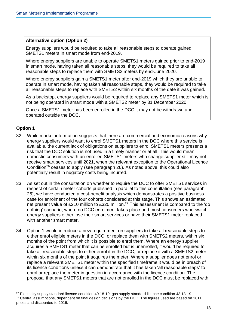#### **Alternative option (Option 2)**

Energy suppliers would be required to take all reasonable steps to operate gained SMETS1 meters in smart mode from end-2019.

Where energy suppliers are unable to operate SMETS1 meters gained prior to end-2019 in smart mode, having taken all reasonable steps, they would be required to take all reasonable steps to replace them with SMETS2 meters by end-June 2020.

Where energy suppliers gain a SMETS1 meter after end-2019 which they are unable to operate in smart mode, having taken all reasonable steps, they would be required to take all reasonable steps to replace with SMETS2 within six months of the date it was gained.

As a backstop, energy suppliers would be required to replace any SMETS1 meter which is not being operated in smart mode with a SMETS2 meter by 31 December 2020.

Once a SMETS1 meter has been enrolled in the DCC it may not be withdrawn and operated outside the DCC.

#### **Option 1**

- 32. While market information suggests that there are commercial and economic reasons why energy suppliers would want to enrol SMETS1 meters in the DCC where this service is available, the current lack of obligations on suppliers to enrol SMETS1 meters presents a risk that the DCC solution is not used in a timely manner or at all. This would mean domestic consumers with un-enrolled SMETS1 meters who change supplier still may not receive smart services until 2021, when the relevant exception to the Operational Licence Condition<sup>26</sup> ceases to apply (see paragraph 26). As noted above, this could also potentially result in nugatory costs being incurred.
- 33. As set out in the consultation on whether to require the DCC to offer SMETS1 services in respect of certain meter cohorts published in parallel to this consultation (see paragraph 25), we have conducted a cost-benefit analysis which demonstrates a positive business case for enrolment of the four cohorts considered at this stage. This shows an estimated net present value of £210 million to £320 million.<sup>27</sup> This assessment is compared to the 'do nothing' scenario, where no DCC enrolment takes place and most consumers who switch energy suppliers either lose their smart services or have their SMETS1 meter replaced with another smart meter.
- 34. Option 1 would introduce a new requirement on suppliers to take all reasonable steps to either enrol eligible meters in the DCC, or replace them with SMETS2 meters, within six months of the point from which it is possible to enrol them. Where an energy supplier acquires a SMETS1 meter that can be enrolled but is unenrolled, it would be required to take all reasonable steps to either enrol it in the DCC, or replace it with a SMETS2 meter, within six months of the point it acquires the meter. Where a supplier does not enrol or replace a relevant SMETS1 meter within the specified timeframe it would be in breach of its licence conditions unless it can demonstrate that it has taken 'all reasonable steps' to enrol or replace the meter in question in accordance with the licence condition. The proposal that any SMETS1 meters that are not enrolled in the DCC must be replaced with

<sup>26</sup> Electricity supply standard licence condition 49.18-19; gas supply standard licence condition 43.18-19. <sup>27</sup> Central assumptions, dependent on final design decisions by the DCC. The figures used are based on 2011 prices and discounted to 2016.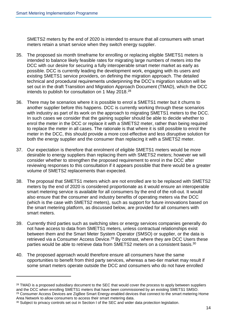SMETS2 meters by the end of 2020 is intended to ensure that all consumers with smart meters retain a smart service when they switch energy supplier.

- 35. The proposed six month timeframe for enrolling or replacing eligible SMETS1 meters is intended to balance likely feasible rates for migrating large numbers of meters into the DCC with our desire for securing a fully interoperable smart meter market as early as possible. DCC is currently leading the development work, engaging with its users and existing SMETS1 service providers, on defining the migration approach. The detailed technical and procedural requirements underpinning the DCC's migration solution will be set out in the draft Transition and Migration Approach Document (TMAD), which the DCC intends to publish for consultation on 1 May 2018.<sup>28</sup>
- 36. There may be scenarios where it is possible to enrol a SMETS1 meter but it churns to another supplier before this happens. DCC is currently working through these scenarios with industry as part of its work on the approach to migrating SMETS1 meters to the DCC. In such cases we consider that the gaining supplier should be able to decide whether to enrol the meter in the DCC or replace it with a SMETS2 meter, rather than being required to replace the meter in all cases. The rationale is that where it is still possible to enrol the meter in the DCC, this should provide a more cost-effective and less disruptive solution for both the energy supplier and the consumer than replacing it with a SMETS2 meter.
- 37. Our expectation is therefore that enrolment of eligible SMETS1 meters would be more desirable to energy suppliers than replacing them with SMETS2 meters; however we will consider whether to strengthen the proposed requirement to enrol in the DCC after reviewing responses to this consultation if it appears possible that there would be a greater volume of SMETS2 replacements than expected.
- 38. The proposal that SMETS1 meters which are not enrolled are to be replaced with SMETS2 meters by the end of 2020 is considered proportionate as it would ensure an interoperable smart metering service is available for all consumers by the end of the roll-out. It would also ensure that the consumer and industry benefits of operating meters via the DCC (which is the case with SMETS2 meters), such as support for future innovations based on the smart metering platform, as discussed below, are provided for all consumers with smart meters.
- 39. Currently third parties such as switching sites or energy services companies generally do not have access to data from SMETS1 meters, unless contractual relationships exist between them and the Smart Meter System Operator (SMSO) or supplier, or the data is retrieved via a Consumer Access Device.<sup>29</sup> By contrast, where they are DCC Users these parties would be able to retrieve data from SMETS2 meters on a consistent basis.<sup>30</sup>
- 40. The proposed approach would therefore ensure all consumers have the same opportunities to benefit from third party services, whereas a two-tier market may result if some smart meters operate outside the DCC and consumers who do not have enrolled

Area Network to allow consumers to access their smart metering data.

<sup>&</sup>lt;sup>28</sup> TMAD is a proposed subsidiary document to the SEC that would cover the process to apply between suppliers and the DCC when enrolling SMETS1 meters that have been commissioned by an existing SMETS1 SMSO. <sup>29</sup> Consumer Access Devices are ZigBee Smart Energy-enabled devices that connect to the smart metering Home

<sup>&</sup>lt;sup>30</sup> Subject to privacy controls set out in Section I of the SEC and wider data protection legislation.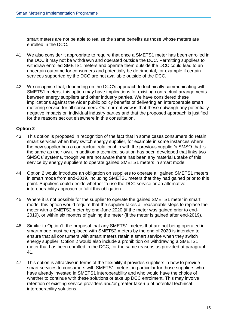smart meters are not be able to realise the same benefits as those whose meters are enrolled in the DCC.

- 41. We also consider it appropriate to require that once a SMETS1 meter has been enrolled in the DCC it may not be withdrawn and operated outside the DCC. Permitting suppliers to withdraw enrolled SMETS1 meters and operate them outside the DCC could lead to an uncertain outcome for consumers and potentially be detrimental, for example if certain services supported by the DCC are not available outside of the DCC.
- 42. We recognise that, depending on the DCC's approach to technically communicating with SMETS1 meters, this option may have implications for existing contractual arrangements between energy suppliers and other industry parties. We have considered these implications against the wider public policy benefits of delivering an interoperable smart metering service for all consumers. Our current view is that these outweigh any potentially negative impacts on individual industry parties and that the proposed approach is justified for the reasons set out elsewhere in this consultation.

#### **Option 2**

- 43. This option is proposed in recognition of the fact that in some cases consumers do retain smart services when they switch energy supplier, for example in some instances where the new supplier has a contractual relationship with the previous supplier's SMSO that is the same as their own. In addition a technical solution has been developed that links two SMSOs' systems, though we are not aware there has been any material uptake of this service by energy suppliers to operate gained SMETS1 meters in smart mode.
- 44. Option 2 would introduce an obligation on suppliers to operate all gained SMETS1 meters in smart mode from end-2019, including SMETS1 meters that they had gained prior to this point. Suppliers could decide whether to use the DCC service or an alternative interoperability approach to fulfil this obligation.
- 45. Where it is not possible for the supplier to operate the gained SMETS1 meter in smart mode, this option would require that the supplier takes all reasonable steps to replace the meter with a SMETS2 meter by end-June 2020 (if the meter was gained prior to end-2019), or within six months of gaining the meter (if the meter is gained after end-2019).
- 46. Similar to Option1, the proposal that any SMETS1 meters that are not being operated in smart mode must be replaced with SMETS2 meters by the end of 2020 is intended to ensure that all consumers with smart meters retain a smart service when they switch energy supplier. Option 2 would also include a prohibition on withdrawing a SMETS1 meter that has been enrolled in the DCC, for the same reasons as provided at paragraph 41.
- 47. This option is attractive in terms of the flexibility it provides suppliers in how to provide smart services to consumers with SMETS1 meters, in particular for those suppliers who have already invested in SMETS1 interoperability and who would have the choice of whether to continue with these solutions or take up DCC enrolment. This may involve retention of existing service providers and/or greater take-up of potential technical interoperability solutions.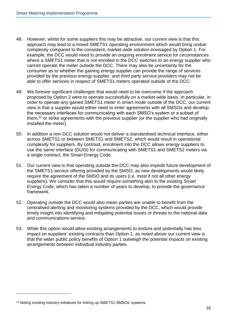- 48. However, whilst for some suppliers this may be attractive, our current view is that this approach may lead to a mixed SMETS1 operating environment which would bring undue complexity compared to the consistent, market-wide solution envisaged by Option 1. For example, the DCC would need to provide an ongoing enrolment service for circumstances where a SMETS1 meter that is not enrolled in the DCC switches to an energy supplier who cannot operate the meter outside the DCC. There may also be uncertainty for the consumer as to whether the gaining energy supplier can provide the range of services provided by the previous energy supplier, and third party service providers may not be able to offer services in respect of SMETS1 meters operated outside of the DCC.
- 49. We foresee significant challenges that would need to be overcome if the approach proposed by Option 2 were to operate successfully on a market-wide basis. In particular, in order to operate any gained SMETS1 meter in smart mode outside of the DCC, our current view is that a supplier would either need to enter agreements with all SMSOs and develop the necessary interfaces for communicating with each SMSO's system or a subset of them, $31$  or strike agreements with the previous supplier (or the supplier who had originally installed the meter).
- 50. In addition a non-DCC solution would not deliver a standardised technical interface, either across SMETS1 or between SMETS1 and SMETS2, which would result in operational complexity for suppliers. By contrast, enrolment into the DCC allows energy suppliers to use the same interface (DUIS) for communicating with SMETS1 and SMETS2 meters via a single contract, the Smart Energy Code.
- 51. Our current view is that operating outside the DCC may also impede future development of the SMETS1 service offering provided by the SMSO, as new developments would likely require the agreement of the SMSO and its users (i.e. most if not all other energy suppliers). We consider that this would require something akin to the existing Smart Energy Code, which has taken a number of years to develop, to provide the governance framework.
- 52. Operating outside the DCC would also mean parties are unable to benefit from the centralised alerting and monitoring systems provided by the DCC, which would provide timely insight into identifying and mitigating potential issues or threats to the national data and communications service.
- 53. While this option would allow existing arrangements to endure and potentially has less impact on suppliers' existing contracts than Option 1, as noted above our current view is that the wider public policy benefits of Option 1 outweigh the potential impacts on existing arrangements between individual industry parties.

<sup>&</sup>lt;sup>31</sup> Noting existing industry initiatives for linking up SMETS1 SMSOs' systems.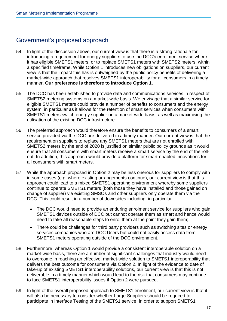### Government's proposed approach

- 54. In light of the discussion above, our current view is that there is a strong rationale for introducing a requirement for energy suppliers to use the DCC's enrolment service where it has eligible SMETS1 meters, or to replace SMETS1 meters with SMETS2 meters, within a specified timeframe. While Option 1 introduces new obligations on suppliers, our current view is that the impact this has is outweighed by the public policy benefits of delivering a market-wide approach that resolves SMETS1 interoperability for all consumers in a timely manner. **Our preference is therefore to introduce Option 1.**
- 55. The DCC has been established to provide data and communications services in respect of SMETS2 metering systems on a market-wide basis. We envisage that a similar service for eligible SMETS1 meters could provide a number of benefits to consumers and the energy system, in particular as it allows for the retention of smart services when consumers with SMETS1 meters switch energy supplier on a market-wide basis, as well as maximising the utilisation of the existing DCC infrastructure.
- 56. The preferred approach would therefore ensure the benefits to consumers of a smart service provided via the DCC are delivered in a timely manner. Our current view is that the requirement on suppliers to replace any SMETS1 meters that are not enrolled with SMETS2 meters by the end of 2020 is justified on similar public policy grounds as it would ensure that all consumers with smart meters receive a smart service by the end of the rollout. In addition, this approach would provide a platform for smart-enabled innovations for all consumers with smart meters.
- 57. While the approach proposed in Option 2 may be less onerous for suppliers to comply with in some cases (e.g. where existing arrangements continue), our current view is that this approach could lead to a mixed SMETS1 operating environment whereby some suppliers continue to operate SMETS1 meters (both those they have installed and those gained on change of supplier) via existing SMSOs and other suppliers only operate them via the DCC. This could result in a number of downsides including, in particular:
	- The DCC would need to provide an enduring enrolment service for suppliers who gain SMETS1 devices outside of DCC but cannot operate them as smart and hence would need to take all reasonable steps to enrol them at the point they gain them;
	- There could be challenges for third party providers such as switching sites or energy services companies who are DCC Users but could not easily access data from SMETS1 meters operating outside of the DCC environment.
- 58. Furthermore, whereas Option 1 would provide a consistent interoperable solution on a market-wide basis, there are a number of significant challenges that industry would need to overcome in reaching an effective, market-wide solution to SMETS1 interoperability that delivers the best outcome for consumers via Option 2. In light of the evidence to date of take-up of existing SMETS1 interoperability solutions, our current view is that this is not deliverable in a timely manner which would lead to the risk that consumers may continue to face SMETS1 interoperability issues if Option 2 were pursued.
- 59. In light of the overall proposed approach to SMETS1 enrolment, our current view is that it will also be necessary to consider whether Large Suppliers should be required to participate in Interface Testing of the SMETS1 service, in order to support SMETS1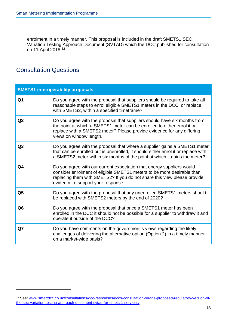enrolment in a timely manner. This proposal is included in the draft SMETS1 SEC Variation Testing Approach Document (SVTAD) which the DCC published for consultation on 11 April 2018.<sup>32</sup>

### Consultation Questions

| <b>SMETS1 interoperability proposals</b> |                                                                                                                                                                                                                                                                   |  |  |  |
|------------------------------------------|-------------------------------------------------------------------------------------------------------------------------------------------------------------------------------------------------------------------------------------------------------------------|--|--|--|
| Q1                                       | Do you agree with the proposal that suppliers should be required to take all<br>reasonable steps to enrol eligible SMETS1 meters in the DCC, or replace<br>with SMETS2, within a specified timeframe?                                                             |  |  |  |
| Q <sub>2</sub>                           | Do you agree with the proposal that suppliers should have six months from<br>the point at which a SMETS1 meter can be enrolled to either enrol it or<br>replace with a SMETS2 meter? Please provide evidence for any differing<br>views on window length.         |  |  |  |
| Q3                                       | Do you agree with the proposal that where a supplier gains a SMETS1 meter<br>that can be enrolled but is unenrolled, it should either enrol it or replace with<br>a SMETS2 meter within six months of the point at which it gains the meter?                      |  |  |  |
| Q4                                       | Do you agree with our current expectation that energy suppliers would<br>consider enrolment of eligible SMETS1 meters to be more desirable than<br>replacing them with SMETS2? If you do not share this view please provide<br>evidence to support your response. |  |  |  |
| Q <sub>5</sub>                           | Do you agree with the proposal that any unenrolled SMETS1 meters should<br>be replaced with SMETS2 meters by the end of 2020?                                                                                                                                     |  |  |  |
| Q <sub>6</sub>                           | Do you agree with the proposal that once a SMETS1 meter has been<br>enrolled in the DCC it should not be possible for a supplier to withdraw it and<br>operate it outside of the DCC?                                                                             |  |  |  |
| Q7                                       | Do you have comments on the government's views regarding the likely<br>challenges of delivering the alternative option (Option 2) in a timely manner<br>on a market-wide basis?                                                                                   |  |  |  |

<sup>32</sup> See: [www.smartdcc.co.uk/consultations/dcc-responses/dccs-consultation-on-the-proposed-regulatory-version-of](https://www.smartdcc.co.uk/consultations/dcc-responses/dccs-consultation-on-the-proposed-regulatory-version-of-the-sec-variation-testing-approach-document-svtad-for-smets-1-services/)[the-sec-variation-testing-approach-document-svtad-for-smets-1-services/](https://www.smartdcc.co.uk/consultations/dcc-responses/dccs-consultation-on-the-proposed-regulatory-version-of-the-sec-variation-testing-approach-document-svtad-for-smets-1-services/)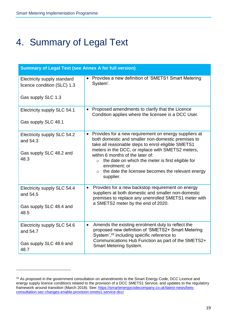l

# <span id="page-19-0"></span>4. Summary of Legal Text

| <b>Summary of Legal Text (see Annex A for full version)</b>                |                                                                                                                                                                                                                                                                                                                                                                                                                                    |  |  |
|----------------------------------------------------------------------------|------------------------------------------------------------------------------------------------------------------------------------------------------------------------------------------------------------------------------------------------------------------------------------------------------------------------------------------------------------------------------------------------------------------------------------|--|--|
| Electricity supply standard<br>licence condition (SLC) 1.3                 | • Provides a new definition of 'SMETS1 Smart Metering<br>System'.                                                                                                                                                                                                                                                                                                                                                                  |  |  |
| Gas supply SLC 1.3                                                         |                                                                                                                                                                                                                                                                                                                                                                                                                                    |  |  |
| Electricity supply SLC 54.1                                                | Proposed amendments to clarify that the Licence<br>$\bullet$<br>Condition applies where the licensee is a DCC User.                                                                                                                                                                                                                                                                                                                |  |  |
| Gas supply SLC 48.1                                                        |                                                                                                                                                                                                                                                                                                                                                                                                                                    |  |  |
| Electricity supply SLC 54.2<br>and 54.3<br>Gas supply SLC 48.2 and<br>48.3 | Provides for a new requirement on energy suppliers at<br>$\bullet$<br>both domestic and smaller non-domestic premises to<br>take all reasonable steps to enrol eligible SMETS1<br>meters in the DCC, or replace with SMETS2 meters,<br>within 6 months of the later of:<br>the date on which the meter is first eligible for<br>$\circ$<br>enrolment; or<br>$\circ$ the date the licensee becomes the relevant energy<br>supplier. |  |  |
| Electricity supply SLC 54.4<br>and 54.5<br>Gas supply SLC 48.4 and<br>48.5 | Provides for a new backstop requirement on energy<br>$\bullet$<br>suppliers at both domestic and smaller non-domestic<br>premises to replace any unenrolled SMETS1 meter with<br>a SMETS2 meter by the end of 2020.                                                                                                                                                                                                                |  |  |
|                                                                            |                                                                                                                                                                                                                                                                                                                                                                                                                                    |  |  |
| Electricity supply SLC 54.6<br>and 54.7                                    | Amends the existing enrolment duty to reflect the<br>$\bullet$<br>proposed new definition of 'SMETS2+ Smart Metering<br>System', 33 including specific reference to<br>Communications Hub Function as part of the SMETS2+                                                                                                                                                                                                          |  |  |
| Gas supply SLC 48.6 and<br>48.7                                            | <b>Smart Metering System.</b>                                                                                                                                                                                                                                                                                                                                                                                                      |  |  |

<sup>33</sup> As proposed in the government consultation on amendments to the Smart Energy Code, DCC Licence and energy supply licence conditions related to the provision of a DCC SMETS1 Service, and updates to the regulatory framework around transition (March 2018). See: [https://smartenergycodecompany.co.uk/latest-news/beis](https://smartenergycodecompany.co.uk/latest-news/beis-consultation-sec-changes-enable-provision-smets1-service-dcc/)[consultation-sec-changes-enable-provision-smets1-service-dcc/](https://smartenergycodecompany.co.uk/latest-news/beis-consultation-sec-changes-enable-provision-smets1-service-dcc/)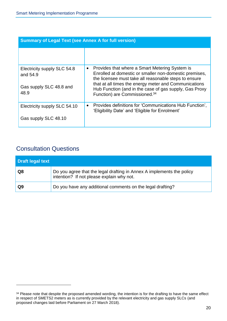| <b>Summary of Legal Text (see Annex A for full version)</b> |                                                                                                                                                                                |  |  |  |
|-------------------------------------------------------------|--------------------------------------------------------------------------------------------------------------------------------------------------------------------------------|--|--|--|
|                                                             |                                                                                                                                                                                |  |  |  |
| Electricity supply SLC 54.8<br>and 54.9                     | Provides that where a Smart Metering System is<br>$\bullet$<br>Enrolled at domestic or smaller non-domestic premises,<br>the licensee must take all reasonable steps to ensure |  |  |  |
| Gas supply SLC 48.8 and<br>48.9                             | that at all times the energy meter and Communications<br>Hub Function (and in the case of gas supply, Gas Proxy<br>Function) are Commissioned. <sup>34</sup>                   |  |  |  |
| Electricity supply SLC 54.10                                | Provides definitions for 'Communications Hub Function'.<br>$\bullet$<br>'Eligibility Date' and 'Eligible for Enrolment'                                                        |  |  |  |
| Gas supply SLC 48.10                                        |                                                                                                                                                                                |  |  |  |

### Consultation Questions

| Draft legal text |                                                                                                                    |  |  |  |  |
|------------------|--------------------------------------------------------------------------------------------------------------------|--|--|--|--|
| Q8               | Do you agree that the legal drafting in Annex A implements the policy<br>intention? If not please explain why not. |  |  |  |  |
| Q9               | Do you have any additional comments on the legal drafting?                                                         |  |  |  |  |

<sup>&</sup>lt;sup>34</sup> Please note that despite the proposed amended wording, the intention is for the drafting to have the same effect in respect of SMETS2 meters as is currently provided by the relevant electricity and gas supply SLCs (and proposed changes laid before Parliament on 27 March 2018).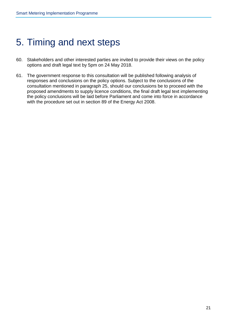# <span id="page-21-0"></span>5. Timing and next steps

- 60. Stakeholders and other interested parties are invited to provide their views on the policy options and draft legal text by 5pm on 24 May 2018.
- 61. The government response to this consultation will be published following analysis of responses and conclusions on the policy options. Subject to the conclusions of the consultation mentioned in paragraph 25, should our conclusions be to proceed with the proposed amendments to supply licence conditions, the final draft legal text implementing the policy conclusions will be laid before Parliament and come into force in accordance with the procedure set out in section 89 of the Energy Act 2008.